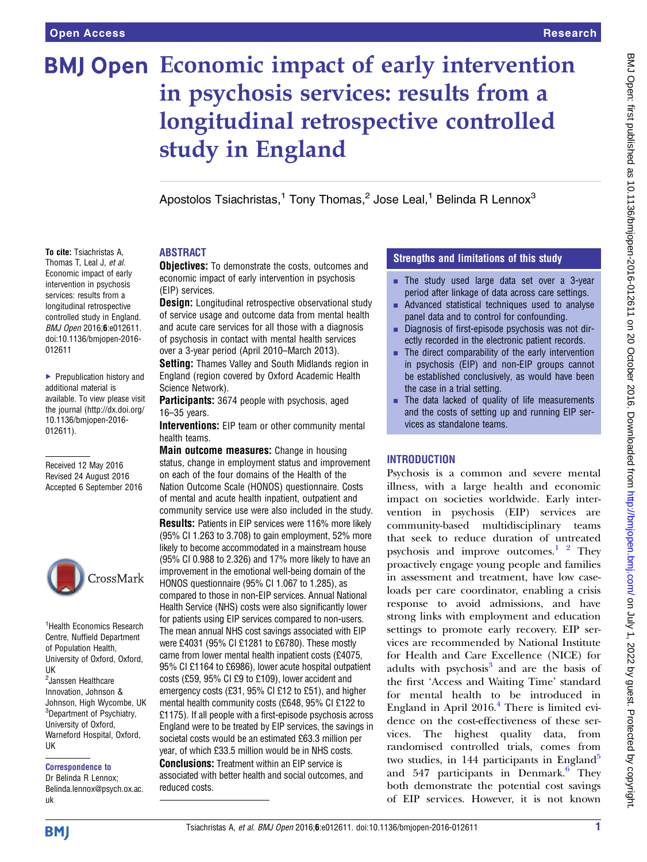# **BMJ Open Economic impact of early intervention** in psychosis services: results from a longitudinal retrospective controlled study in England

Apostolos Tsiachristas,<sup>1</sup> Tony Thomas,<sup>2</sup> Jose Leal,<sup>1</sup> Belinda R Lennox<sup>3</sup>

# To cite: Tsiachristas A, Thomas T, Leal J, et al. Economic impact of early

intervention in psychosis services: results from a longitudinal retrospective controlled study in England. BMJ Open 2016;6:e012611. doi:10.1136/bmjopen-2016- 012611

▶ Prepublication history and additional material is available. To view please visit the journal [\(http://dx.doi.org/](http://dx.doi.org/10.1136/bmjopen-2016-012611) [10.1136/bmjopen-2016-](http://dx.doi.org/10.1136/bmjopen-2016-012611) [012611\)](http://dx.doi.org/10.1136/bmjopen-2016-012611).

Received 12 May 2016 Revised 24 August 2016 Accepted 6 September 2016



<sup>1</sup> Health Economics Research Centre, Nuffield Department of Population Health, University of Oxford, Oxford, UK <sup>2</sup> Janssen Healthcare Innovation, Johnson & Johnson, High Wycombe, UK <sup>3</sup>Department of Psychiatry, University of Oxford, Warneford Hospital, Oxford, UK

#### Correspondence to

Dr Belinda R Lennox; Belinda.lennox@psych.ox.ac. uk

# ABSTRACT

**Objectives:** To demonstrate the costs, outcomes and economic impact of early intervention in psychosis (EIP) services.

**Design:** Longitudinal retrospective observational study of service usage and outcome data from mental health and acute care services for all those with a diagnosis of psychosis in contact with mental health services over a 3-year period (April 2010–March 2013).

**Setting:** Thames Valley and South Midlands region in England (region covered by Oxford Academic Health Science Network).

**Participants:** 3674 people with psychosis, aged 16–35 years.

Interventions: EIP team or other community mental health teams.

Main outcome measures: Change in housing status, change in employment status and improvement on each of the four domains of the Health of the Nation Outcome Scale (HONOS) questionnaire. Costs of mental and acute health inpatient, outpatient and community service use were also included in the study. Results: Patients in EIP services were 116% more likely (95% CI 1.263 to 3.708) to gain employment, 52% more likely to become accommodated in a mainstream house (95% CI 0.988 to 2.326) and 17% more likely to have an improvement in the emotional well-being domain of the HONOS questionnaire (95% CI 1.067 to 1.285), as compared to those in non-EIP services. Annual National Health Service (NHS) costs were also significantly lower for patients using EIP services compared to non-users. The mean annual NHS cost savings associated with EIP were £4031 (95% CI £1281 to £6780). These mostly came from lower mental health inpatient costs (£4075, 95% CI £1164 to £6986), lower acute hospital outpatient costs (£59, 95% CI £9 to £109), lower accident and emergency costs (£31, 95% CI £12 to £51), and higher mental health community costs (£648, 95% CI £122 to £1175). If all people with a first-episode psychosis across England were to be treated by EIP services, the savings in societal costs would be an estimated £63.3 million per year, of which £33.5 million would be in NHS costs. Conclusions: Treatment within an EIP service is associated with better health and social outcomes, and reduced costs.

# Strengths and limitations of this study

- $\blacksquare$  The study used large data set over a 3-year period after linkage of data across care settings.
- $\blacksquare$  Advanced statistical techniques used to analyse panel data and to control for confounding.
- **EXECUTE:** Diagnosis of first-episode psychosis was not directly recorded in the electronic patient records.
- $\blacksquare$  The direct comparability of the early intervention in psychosis (EIP) and non-EIP groups cannot be established conclusively, as would have been the case in a trial setting.
- **The data lacked of quality of life measurements** and the costs of setting up and running EIP services as standalone teams.

# **INTRODUCTION**

Psychosis is a common and severe mental illness, with a large health and economic impact on societies worldwide. Early intervention in psychosis (EIP) services are community-based multidisciplinary teams that seek to reduce duration of untreated psychosis and improve outcomes. $1^2$  $1^2$  They proactively engage young people and families in assessment and treatment, have low caseloads per care coordinator, enabling a crisis response to avoid admissions, and have strong links with employment and education settings to promote early recovery. EIP services are recommended by National Institute for Health and Care Excellence (NICE) for adults with psychosis<sup>[3](#page-8-0)</sup> and are the basis of the first 'Access and Waiting Time' standard for mental health to be introduced in England in April  $2016<sup>4</sup>$  $2016<sup>4</sup>$  $2016<sup>4</sup>$  There is limited evidence on the cost-effectiveness of these services. The highest quality data, from randomised controlled trials, comes from two studies, in 144 participants in England<sup>5</sup> and  $547$  participants in Denmark.<sup>[6](#page-8-0)</sup> They both demonstrate the potential cost savings of EIP services. However, it is not known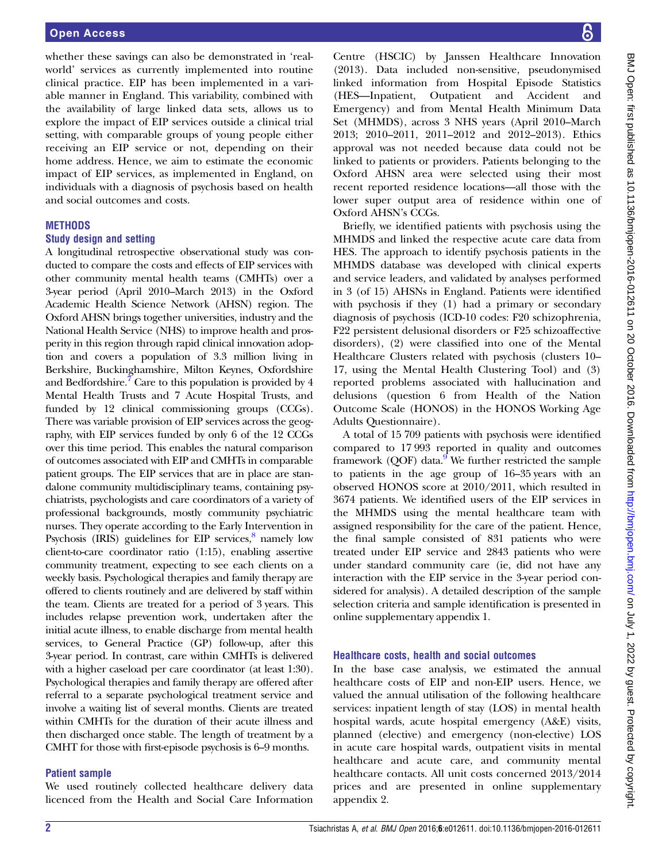whether these savings can also be demonstrated in 'realworld' services as currently implemented into routine clinical practice. EIP has been implemented in a variable manner in England. This variability, combined with the availability of large linked data sets, allows us to explore the impact of EIP services outside a clinical trial setting, with comparable groups of young people either receiving an EIP service or not, depending on their home address. Hence, we aim to estimate the economic impact of EIP services, as implemented in England, on individuals with a diagnosis of psychosis based on health and social outcomes and costs.

# **METHODS**

# Study design and setting

A longitudinal retrospective observational study was conducted to compare the costs and effects of EIP services with other community mental health teams (CMHTs) over a 3-year period (April 2010–March 2013) in the Oxford Academic Health Science Network (AHSN) region. The Oxford AHSN brings together universities, industry and the National Health Service (NHS) to improve health and prosperity in this region through rapid clinical innovation adoption and covers a population of 3.3 million living in Berkshire, Buckinghamshire, Milton Keynes, Oxfordshire and Bedfordshire.<sup> $\prime$ </sup> Care to this population is provided by 4 Mental Health Trusts and 7 Acute Hospital Trusts, and funded by 12 clinical commissioning groups (CCGs). There was variable provision of EIP services across the geography, with EIP services funded by only 6 of the 12 CCGs over this time period. This enables the natural comparison of outcomes associated with EIP and CMHTs in comparable patient groups. The EIP services that are in place are standalone community multidisciplinary teams, containing psychiatrists, psychologists and care coordinators of a variety of professional backgrounds, mostly community psychiatric nurses. They operate according to the Early Intervention in Psychosis (IRIS) guidelines for EIP services, $8$  namely low client-to-care coordinator ratio (1:15), enabling assertive community treatment, expecting to see each clients on a weekly basis. Psychological therapies and family therapy are offered to clients routinely and are delivered by staff within the team. Clients are treated for a period of 3 years. This includes relapse prevention work, undertaken after the initial acute illness, to enable discharge from mental health services, to General Practice (GP) follow-up, after this 3-year period. In contrast, care within CMHTs is delivered with a higher caseload per care coordinator (at least 1:30). Psychological therapies and family therapy are offered after referral to a separate psychological treatment service and involve a waiting list of several months. Clients are treated within CMHTs for the duration of their acute illness and then discharged once stable. The length of treatment by a CMHT for those with first-episode psychosis is 6–9 months.

# Patient sample

We used routinely collected healthcare delivery data licenced from the Health and Social Care Information

Centre (HSCIC) by Janssen Healthcare Innovation (2013). Data included non-sensitive, pseudonymised linked information from Hospital Episode Statistics (HES—Inpatient, Outpatient and Accident and Emergency) and from Mental Health Minimum Data Set (MHMDS), across 3 NHS years (April 2010–March 2013; 2010–2011, 2011–2012 and 2012–2013). Ethics approval was not needed because data could not be linked to patients or providers. Patients belonging to the Oxford AHSN area were selected using their most recent reported residence locations—all those with the lower super output area of residence within one of Oxford AHSN's CCGs.

Briefly, we identified patients with psychosis using the MHMDS and linked the respective acute care data from HES. The approach to identify psychosis patients in the MHMDS database was developed with clinical experts and service leaders, and validated by analyses performed in 3 (of 15) AHSNs in England. Patients were identified with psychosis if they (1) had a primary or secondary diagnosis of psychosis (ICD-10 codes: F20 schizophrenia, F22 persistent delusional disorders or F25 schizoaffective disorders), (2) were classified into one of the Mental Healthcare Clusters related with psychosis (clusters 10– 17, using the Mental Health Clustering Tool) and (3) reported problems associated with hallucination and delusions (question 6 from Health of the Nation Outcome Scale (HONOS) in the HONOS Working Age Adults Questionnaire).

A total of 15 709 patients with psychosis were identified compared to 17 993 reported in quality and outcomes framework  $(QOF)$  data.<sup>9</sup> We further restricted the sample to patients in the age group of 16–35 years with an observed HONOS score at 2010/2011, which resulted in 3674 patients. We identified users of the EIP services in the MHMDS using the mental healthcare team with assigned responsibility for the care of the patient. Hence, the final sample consisted of 831 patients who were treated under EIP service and 2843 patients who were under standard community care (ie, did not have any interaction with the EIP service in the 3-year period considered for analysis). A detailed description of the sample selection criteria and sample identification is presented in online [supplementary appendix 1](http://dx.doi.org/10.1136/bmjopen-2016-012611).

# Healthcare costs, health and social outcomes

In the base case analysis, we estimated the annual healthcare costs of EIP and non-EIP users. Hence, we valued the annual utilisation of the following healthcare services: inpatient length of stay (LOS) in mental health hospital wards, acute hospital emergency (A&E) visits, planned (elective) and emergency (non-elective) LOS in acute care hospital wards, outpatient visits in mental healthcare and acute care, and community mental healthcare contacts. All unit costs concerned 2013/2014 prices and are presented in online [supplementary](http://dx.doi.org/10.1136/bmjopen-2016-012611) [appendix 2.](http://dx.doi.org/10.1136/bmjopen-2016-012611)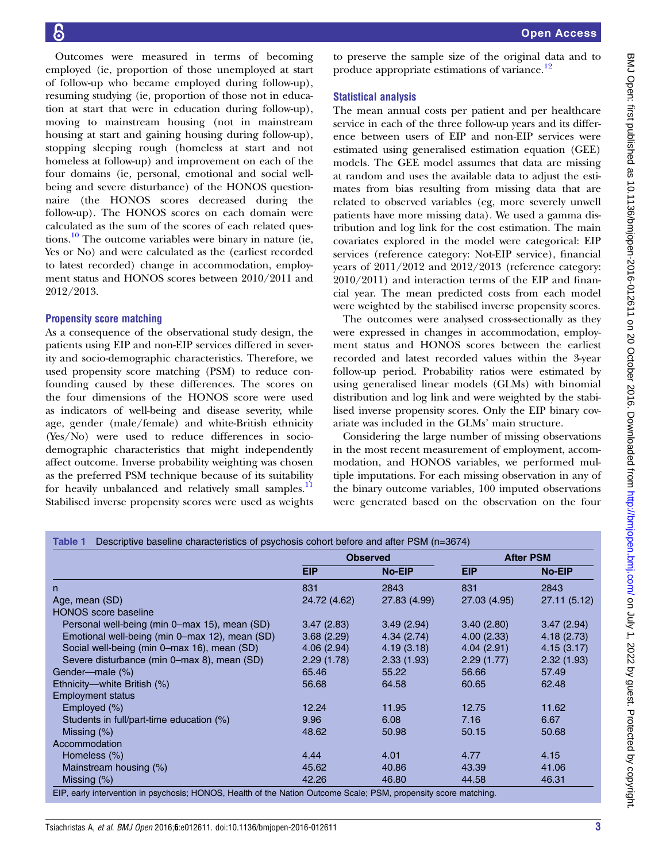<span id="page-2-0"></span>Outcomes were measured in terms of becoming employed (ie, proportion of those unemployed at start of follow-up who became employed during follow-up), resuming studying (ie, proportion of those not in education at start that were in education during follow-up), moving to mainstream housing (not in mainstream housing at start and gaining housing during follow-up), stopping sleeping rough (homeless at start and not homeless at follow-up) and improvement on each of the four domains (ie, personal, emotional and social wellbeing and severe disturbance) of the HONOS questionnaire (the HONOS scores decreased during the follow-up). The HONOS scores on each domain were calculated as the sum of the scores of each related questions.<sup>10</sup> The outcome variables were binary in nature (ie, Yes or No) and were calculated as the (earliest recorded to latest recorded) change in accommodation, employment status and HONOS scores between 2010/2011 and 2012/2013.

### Propensity score matching

As a consequence of the observational study design, the patients using EIP and non-EIP services differed in severity and socio-demographic characteristics. Therefore, we used propensity score matching (PSM) to reduce confounding caused by these differences. The scores on the four dimensions of the HONOS score were used as indicators of well-being and disease severity, while age, gender (male/female) and white-British ethnicity (Yes/No) were used to reduce differences in sociodemographic characteristics that might independently affect outcome. Inverse probability weighting was chosen as the preferred PSM technique because of its suitability for heavily unbalanced and relatively small samples.<sup>[11](#page-8-0)</sup> Stabilised inverse propensity scores were used as weights

to preserve the sample size of the original data and to produce appropriate estimations of variance.<sup>[12](#page-8-0)</sup>

# Statistical analysis

The mean annual costs per patient and per healthcare service in each of the three follow-up years and its difference between users of EIP and non-EIP services were estimated using generalised estimation equation (GEE) models. The GEE model assumes that data are missing at random and uses the available data to adjust the estimates from bias resulting from missing data that are related to observed variables (eg, more severely unwell patients have more missing data). We used a gamma distribution and log link for the cost estimation. The main covariates explored in the model were categorical: EIP services (reference category: Not-EIP service), financial years of 2011/2012 and 2012/2013 (reference category: 2010/2011) and interaction terms of the EIP and financial year. The mean predicted costs from each model were weighted by the stabilised inverse propensity scores.

The outcomes were analysed cross-sectionally as they were expressed in changes in accommodation, employment status and HONOS scores between the earliest recorded and latest recorded values within the 3-year follow-up period. Probability ratios were estimated by using generalised linear models (GLMs) with binomial distribution and log link and were weighted by the stabilised inverse propensity scores. Only the EIP binary covariate was included in the GLMs' main structure.

Considering the large number of missing observations in the most recent measurement of employment, accommodation, and HONOS variables, we performed multiple imputations. For each missing observation in any of the binary outcome variables, 100 imputed observations were generated based on the observation on the four

|                                                |              | <b>Observed</b> |              | <b>After PSM</b> |
|------------------------------------------------|--------------|-----------------|--------------|------------------|
|                                                | <b>EIP</b>   | <b>No-EIP</b>   | <b>EIP</b>   | <b>No-EIP</b>    |
| n.                                             | 831          | 2843            | 831          | 2843             |
| Age, mean (SD)                                 | 24.72 (4.62) | 27.83 (4.99)    | 27.03 (4.95) | 27.11 (5.12)     |
| <b>HONOS</b> score baseline                    |              |                 |              |                  |
| Personal well-being (min 0–max 15), mean (SD)  | 3.47(2.83)   | 3.49(2.94)      | 3.40(2.80)   | 3.47(2.94)       |
| Emotional well-being (min 0–max 12), mean (SD) | 3.68(2.29)   | 4.34(2.74)      | 4.00(2.33)   | 4.18(2.73)       |
| Social well-being (min 0–max 16), mean (SD)    | 4.06(2.94)   | 4.19(3.18)      | 4.04(2.91)   | 4.15(3.17)       |
| Severe disturbance (min 0–max 8), mean (SD)    | 2.29(1.78)   | 2.33(1.93)      | 2.29(1.77)   | 2.32(1.93)       |
| Gender-male (%)                                | 65.46        | 55.22           | 56.66        | 57.49            |
| Ethnicity—white British (%)                    | 56.68        | 64.58           | 60.65        | 62.48            |
| <b>Employment status</b>                       |              |                 |              |                  |
| Employed (%)                                   | 12.24        | 11.95           | 12.75        | 11.62            |
| Students in full/part-time education (%)       | 9.96         | 6.08            | 7.16         | 6.67             |
| Missing $(\%)$                                 | 48.62        | 50.98           | 50.15        | 50.68            |
| Accommodation                                  |              |                 |              |                  |
| Homeless (%)                                   | 4.44         | 4.01            | 4.77         | 4.15             |
| Mainstream housing (%)                         | 45.62        | 40.86           | 43.39        | 41.06            |
| Missing $(\%)$                                 | 42.26        | 46.80           | 44.58        | 46.31            |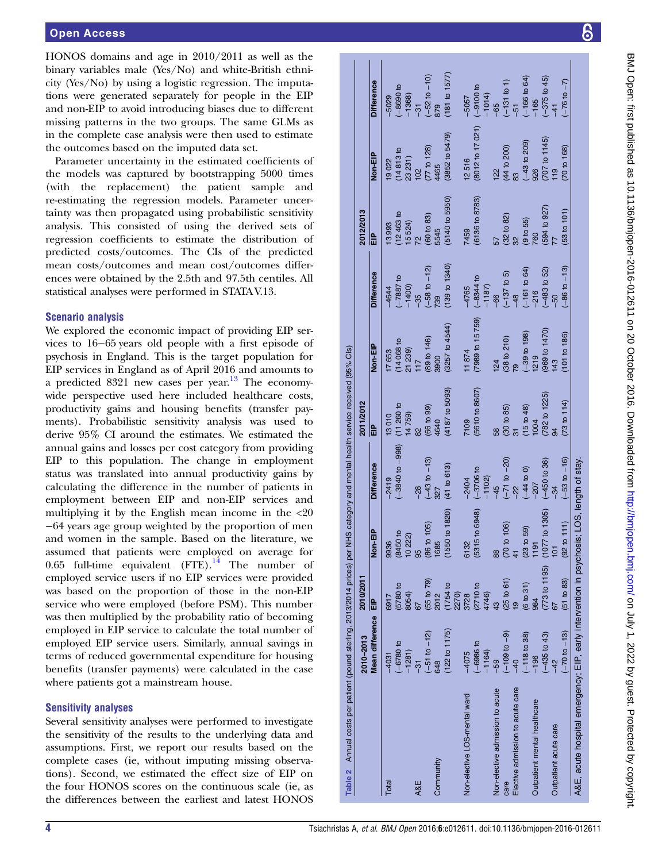<span id="page-3-0"></span>HONOS domains and age in 2010/2011 as well as the binary variables male (Yes/No) and white-British ethnicity (Yes/No) by using a logistic regression. The imputations were generated separately for people in the EIP and non-EIP to avoid introducing biases due to different missing patterns in the two groups. The same GLMs as in the complete case analysis were then used to estimate the outcomes based on the imputed data set.

Parameter uncertainty in the estimated coefficients of the models was captured by bootstrapping 5000 times (with the replacement) the patient sample and re-estimating the regression models. Parameter uncertainty was then propagated using probabilistic sensitivity analysis. This consisted of using the derived sets of regression coefficients to estimate the distribution of predicted costs/outcomes. The CIs of the predicted mean costs/outcomes and mean cost/outcomes differences were obtained by the 2.5th and 97.5th centiles. All statistical analyses were performed in STATA V.13.

### Scenario analysis

We explored the economic impact of providing EIP services to 16−65 years old people with a first episode of psychosis in England. This is the target population for EIP services in England as of April 2016 and amounts to a predicted 8321 new cases per year. $13$  The economywide perspective used here included healthcare costs, productivity gains and housing benefits (transfer payments). Probabilistic sensitivity analysis was used to derive 95% CI around the estimates. We estimated the annual gains and losses per cost category from providing EIP to this population. The change in employment status was translated into annual productivity gains by calculating the difference in the number of patients in employment between EIP and non-EIP services and multiplying it by the English mean income in the <20 −64 years age group weighted by the proportion of men and women in the sample. Based on the literature, we assumed that patients were employed on average for 0.65 full-time equivalent  $(FTE)$ .<sup>[14](#page-8-0)</sup> The number of employed service users if no EIP services were provided was based on the proportion of those in the non-EIP service who were employed (before PSM). This number was then multiplied by the probability ratio of becoming employed in EIP service to calculate the total number of employed EIP service users. Similarly, annual savings in terms of reduced governmental expenditure for housing benefits (transfer payments) were calculated in the case where patients got a mainstream house.

#### Sensitivity analyses

Several sensitivity analyses were performed to investigate the sensitivity of the results to the underlying data and assumptions. First, we report our results based on the complete cases (ie, without imputing missing observations). Second, we estimated the effect size of EIP on the four HONOS scores on the continuous scale (ie, as the differences between the earliest and latest HONOS

|                                  | 2010-2013               | 2010/2011          |                               |                            | 2011/2012            |                         |                                     | 2012/2013                          |                                     |                             |
|----------------------------------|-------------------------|--------------------|-------------------------------|----------------------------|----------------------|-------------------------|-------------------------------------|------------------------------------|-------------------------------------|-----------------------------|
|                                  | <b>Mean difference</b>  | 음<br>대             | <b>AIB</b><br>T-len-l         | <b>Difference</b>          | 읎                    | Non-EIP                 | Difference                          |                                    | Non-EIP                             | <b>Difference</b>           |
| <b>Total</b>                     | $-4031$                 | 6917               | 9936                          | $-2419$                    | 13010                | 17653                   | $-4644$                             | 13993                              | 19022                               | $-5029$                     |
|                                  | $-6780t$                | $(5780)$ to        | $\mathbf{a}$<br>(8450         | $(-3840 to -998)$          | $(11, 260)$ to       |                         |                                     |                                    | (14813 to                           | $-8690$ to                  |
|                                  | $-1281$                 | 8054)              | 10222                         |                            | 14759)               | $(14068 to$<br>$21239)$ | $(-7887)$ to<br>-1400)              | $(12\,463\,{\rm to}$<br>$15\,524)$ | 23 231)                             | $-1368$                     |
| A&E                              | $\frac{1}{3}$           |                    | 95                            | $-28$                      | $\frac{2}{3}$        | 117                     | $-35$                               | $\overline{2}$                     | 102                                 | $-31$                       |
|                                  | $(-51 to -12)$          | $(55$ to $79$      | 105<br>(86 to                 | $(-43 to -13)$             | (66 to 99)           | (89 to 146)             | $\frac{(-58 \text{ to } -12)}{739}$ | (60 to 83)                         | (77 to 128)                         |                             |
| Community                        | 648                     | 2012               | 1685                          | 327                        | 4640                 | 3900                    |                                     | 5545                               | 4465                                | $(-52 to -10)$<br>879       |
|                                  | (122 to 1175)           | (1754 to           | to 1820)<br>(1550)            | (41 to 613)                | (4187 to 5093)       | $(3257$ to $4544)$      | (139 t 0 1340)                      | (5140 t 5950)                      | (3852 to 5479)                      | $(181$ to $1577)$           |
|                                  |                         | 2270)              |                               |                            |                      |                         |                                     |                                    |                                     |                             |
| Non-elective LOS-mental ward     | $-4075$                 | 3728               | 6132                          | $-2404$                    | 7109                 | 11874                   | $-4765$                             | 7459                               | 2516                                | $-505$                      |
|                                  | $-6986t$                | (2710 to           | to 6948)<br>(5315             | $(-3706t)$                 | (5610 to 8607)       | (7989 to 15 759)        |                                     | (6136 to 8783)                     | (8012 to 17 021)                    |                             |
|                                  | $-1164$                 | 4746)              |                               | (1102)                     |                      |                         | $(-8344)$ to $-1187$ )              |                                    |                                     | $(-9100 \text{ to } -1014)$ |
| Non-elective admission to acute  | $-59$                   | 43                 | 88                            | $-45$                      | 58                   | 124                     | $-66$                               |                                    | $\frac{22}{2}$                      | $-65$                       |
| care                             | $(-109 \text{ to } -9)$ | $(25 to 61)$<br>19 | 106)<br>(70 to                | $(-71$ to $-20$ )<br>$-22$ | $(30 to 85)$<br>$31$ | $(38 to 210)$<br>$79$   | $(-137$ to 5)<br>-48                | $(32 to 82)$<br>$32$               | $(44 to 200)$<br>83                 | $(-131$ to 1)<br>$-51$      |
| Elective admission to acute care | $-40$                   |                    |                               |                            |                      |                         |                                     |                                    |                                     |                             |
|                                  | $(-118)$ to 38)         | (6 to 31)          | 59)<br>(23 to                 | $(-44 t 0)$                | (15 to 48)           | $(-39$ to 198)<br>1219  | $(-161$ to 64)<br>$-216$            | $(9 to 55)$<br>760                 | $\frac{(-43 \text{ to } 209)}{926}$ | $(-166$ to 64)<br>$-165$    |
| Outpatient mental healthcare     | $-196$                  | 984                | 1191                          | $-207$                     | 1004                 |                         |                                     |                                    |                                     |                             |
|                                  | $(-435)$ to $43$        | (773 to 1195)      | $\frac{1305}{2}$<br>(1077)    | $(-450 t 36)$              | 782 to 1225)         | (969 to 1470)           | $(-483$ to 52)                      | (594 to 927                        | $(707$ to 1145)<br>119              | $(-375)$ to 45              |
| Outpatient acute care            |                         |                    | $\overline{5}$                | $-34$                      |                      | 143                     |                                     |                                    |                                     | $-41$                       |
|                                  | $(-70 to -13)$          | (51 to 83)         | $\overline{111}$<br>$(92)$ to | $(-53 to -16)$             | (73 to 114)          | (101 to 186)            | $(-86 to -13)$                      | (53 <sub>101</sub> )               | (70 to 168)                         | $(-76 \text{ to } -7)$      |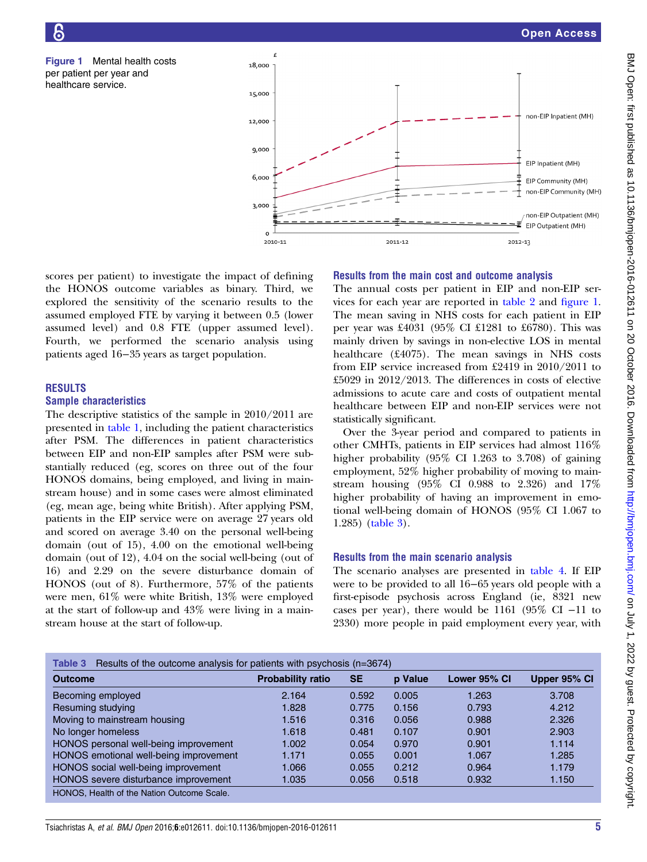<span id="page-4-0"></span>Figure 1 Mental health costs per patient per year and healthcare service.



scores per patient) to investigate the impact of defining the HONOS outcome variables as binary. Third, we explored the sensitivity of the scenario results to the assumed employed FTE by varying it between 0.5 (lower assumed level) and 0.8 FTE (upper assumed level). Fourth, we performed the scenario analysis using patients aged 16−35 years as target population.

# RESULTS

#### Sample characteristics

The descriptive statistics of the sample in 2010/2011 are presented in [table 1](#page-2-0), including the patient characteristics after PSM. The differences in patient characteristics between EIP and non-EIP samples after PSM were substantially reduced (eg, scores on three out of the four HONOS domains, being employed, and living in mainstream house) and in some cases were almost eliminated (eg, mean age, being white British). After applying PSM, patients in the EIP service were on average 27 years old and scored on average 3.40 on the personal well-being domain (out of 15), 4.00 on the emotional well-being domain (out of 12), 4.04 on the social well-being (out of 16) and 2.29 on the severe disturbance domain of HONOS (out of 8). Furthermore, 57% of the patients were men, 61% were white British, 13% were employed at the start of follow-up and 43% were living in a mainstream house at the start of follow-up.

#### Results from the main cost and outcome analysis

The annual costs per patient in EIP and non-EIP services for each year are reported in [table 2](#page-3-0) and figure 1. The mean saving in NHS costs for each patient in EIP per year was £4031 (95% CI £1281 to £6780). This was mainly driven by savings in non-elective LOS in mental healthcare (£4075). The mean savings in NHS costs from EIP service increased from £2419 in 2010/2011 to £5029 in 2012/2013. The differences in costs of elective admissions to acute care and costs of outpatient mental healthcare between EIP and non-EIP services were not statistically significant.

Over the 3-year period and compared to patients in other CMHTs, patients in EIP services had almost 116% higher probability (95% CI 1.263 to 3.708) of gaining employment, 52% higher probability of moving to mainstream housing (95% CI 0.988 to 2.326) and 17% higher probability of having an improvement in emotional well-being domain of HONOS (95% CI 1.067 to 1.285) (table 3).

#### Results from the main scenario analysis

The scenario analyses are presented in [table 4](#page-5-0). If EIP were to be provided to all 16−65 years old people with a first-episode psychosis across England (ie, 8321 new cases per year), there would be 1161 (95% CI −11 to 2330) more people in paid employment every year, with

| Results of the outcome analysis for patients with psychosis (n=3674)<br>Table 3 |                          |           |         |              |              |
|---------------------------------------------------------------------------------|--------------------------|-----------|---------|--------------|--------------|
| <b>Outcome</b>                                                                  | <b>Probability ratio</b> | <b>SE</b> | p Value | Lower 95% CI | Upper 95% CI |
| Becoming employed                                                               | 2.164                    | 0.592     | 0.005   | 1.263        | 3.708        |
| Resuming studying                                                               | 1.828                    | 0.775     | 0.156   | 0.793        | 4.212        |
| Moving to mainstream housing                                                    | 1.516                    | 0.316     | 0.056   | 0.988        | 2.326        |
| No longer homeless                                                              | 1.618                    | 0.481     | 0.107   | 0.901        | 2.903        |
| HONOS personal well-being improvement                                           | 1.002                    | 0.054     | 0.970   | 0.901        | 1.114        |
| HONOS emotional well-being improvement                                          | 1.171                    | 0.055     | 0.001   | 1.067        | 1.285        |
| HONOS social well-being improvement                                             | 1.066                    | 0.055     | 0.212   | 0.964        | 1.179        |
| HONOS severe disturbance improvement                                            | 1.035                    | 0.056     | 0.518   | 0.932        | 1.150        |
| HONOS. Health of the Nation Outcome Scale.                                      |                          |           |         |              |              |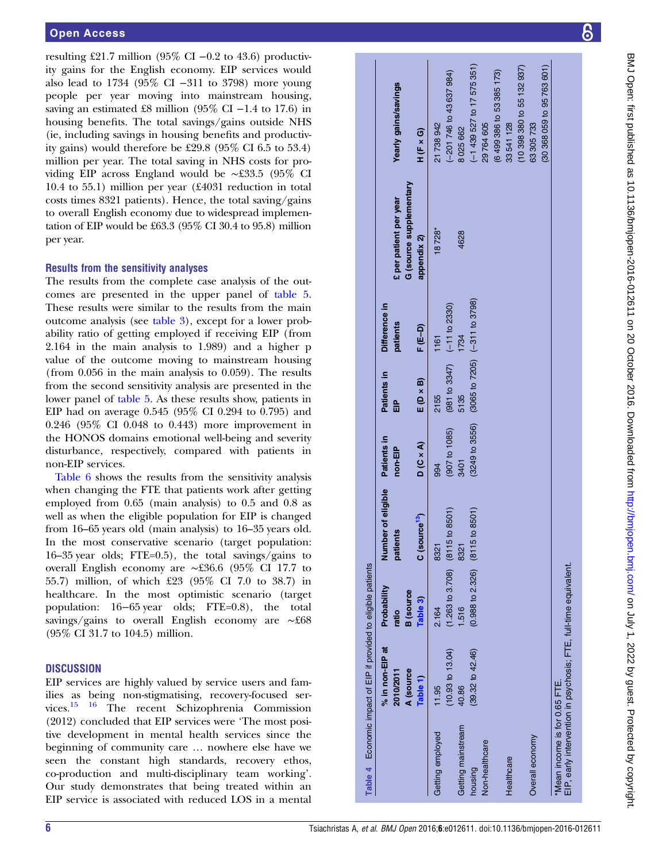<span id="page-5-0"></span>resulting £21.7 million (95% CI –0.2 to 43.6) productivity gains for the English economy. EIP services would also lead to 1734 (95% CI −311 to 3798) more young people per year moving into mainstream housing, saving an estimated £8 million (95% CI –1.4 to 17.6) in housing benefits. The total savings/gains outside NHS (ie, including savings in housing benefits and productivity gains) would therefore be £29.8 (95% CI 6.5 to 53.4) million per year. The total saving in NHS costs for providing EIP across England would be ∼£33.5 (95% CI 10.4 to 55.1) million per year (£4031 reduction in total costs times 8321 patients). Hence, the total saving/gains to overall English economy due to widespread implementation of EIP would be £63.3 (95% CI 30.4 to 95.8) million per year.

# Results from the sensitivity analyses

The results from the complete case analysis of the outcomes are presented in the upper panel of [table 5](#page-6-0). These results were similar to the results from the main outcome analysis (see [table 3](#page-4-0)), except for a lower probability ratio of getting employed if receiving EIP (from 2.164 in the main analysis to 1.989) and a higher p value of the outcome moving to mainstream housing (from 0.056 in the main analysis to 0.059). The results from the second sensitivity analysis are presented in the lower panel of [table 5](#page-6-0). As these results show, patients in EIP had on average 0.545 (95% CI 0.294 to 0.795) and 0.246 (95% CI 0.048 to 0.443) more improvement in the HONOS domains emotional well-being and severity disturbance, respectively, compared with patients in non-EIP services.

[Table 6](#page-7-0) shows the results from the sensitivity analysis when changing the FTE that patients work after getting employed from 0.65 (main analysis) to 0.5 and 0.8 as well as when the eligible population for EIP is changed from 16–65 years old (main analysis) to 16–35 years old. In the most conservative scenario (target population: 16–35 year olds; FTE=0.5), the total savings/gains to overall English economy are ∼£36.6 (95% CI 17.7 to 55.7) million, of which £23 (95% CI 7.0 to 38.7) in healthcare. In the most optimistic scenario (target population: 16−65 year olds; FTE=0.8), the total savings/gains to overall English economy are ∼£68 (95% CI 31.7 to 104.5) million.

# **DISCUSSION**

EIP services are highly valued by service users and families as being non-stigmatising, recovery-focused services.[15 16](#page-8-0) The recent Schizophrenia Commission (2012) concluded that EIP services were 'The most positive development in mental health services since the beginning of community care … nowhere else have we seen the constant high standards, recovery ethos, co-production and multi-disciplinary team working'. Our study demonstrates that being treated within an EIP service is associated with reduced LOS in a mental

Getting mainstream

Getting mainstream

40.86 (39.32 to 42.46)

 $(39.32 \text{ to } 42.46)$ 

housing

**Non-healthcare** 

**Healthcare** 

Getting employed 11.95

Getting employed

11.95

(10.93 to 13.04)

10.93 to 13.04)

(1.263 to 3.708)

 $(1.263 to 3.708)$ 

 $(8115 to 8501)$ 

1.516 (0.988 to 2.326)

8321 (8115 to 8501)

 $(8115 to 8501)$ 

 $(0.988 to 2.326)$ 

3401 (3249 to 3556)

\*Mean income is for 0.65 FTE.

Overall economy

EIP, early intervention in psychosis; FTE, full-time equivalent.

\*Mean income is for 0.65 FTE.<br>EIP, early intervention in psychosis; FTE, full-time equivalent.

5135 (3065 to 7205)

1734 (−311 to 3798)

 $(-311)$  to 3798)

(3065 to 7205)

(3249 to 3556)

2.164

8321 (8115 to 8501)

994 (907 to 1085)

2155 (981 to 3347)

1161 (−11 to 2330)

 $(-11 to 2330)$ 

(981 to 3347)

(907 to 1085)

Table 4 Economic impact of EIP if provided to eligible patients % in non-EIP at 2010/2011

Table 4

Economic impact of EIP if provided to eligible patients

Probability ratio

Probability

% in non-EIP at

A (source [Table](#page-2-0) 1)

2010/2011

B (source

Table 3)

[Table](#page-4-0) 3) C (source<sup>[13](#page-8-0)</sup>) D (C × A) E (D × B) F (E–D)

C (source<sup>13</sup>)

 $D(C \times A)$ 

Number of eligible patients

Number of eligible

Patients in non-EIP

Patients in

Patients in  $\frac{a}{b}$ 

Patients in

Difference in

patients

Difference in

patients £ per patient per year Yearly gains/savings

early gains/savings

G (source [supplementary](http://dx.doi.org/10.1136/bmjopen-2016-012611)

G (source supplementary **E** per patient per year

[appendix](http://dx.doi.org/10.1136/bmjopen-2016-012611) 2) H (F × G)

appendix 2)

 $F(E-D)$ 

 $E(D \times B)$ 

 $H(F \times G)$ 

18728\*

21738942

**1628** 

8025662

(−201 746 to 43 637 984)

 $-201$  746 to 43 637 984)

(−1 439 527 to 17 575 351)

 $(-1439527$  to  $17575351)$ 

(6 499 386 to 53 385 173)

33541128

(6499 386 to 53 385 173)

29764605

(10 398 380 to 55 132 937)

 $(10398380$  to 55 132 937)

(30 368 059 to 95 763 601)

63 305 733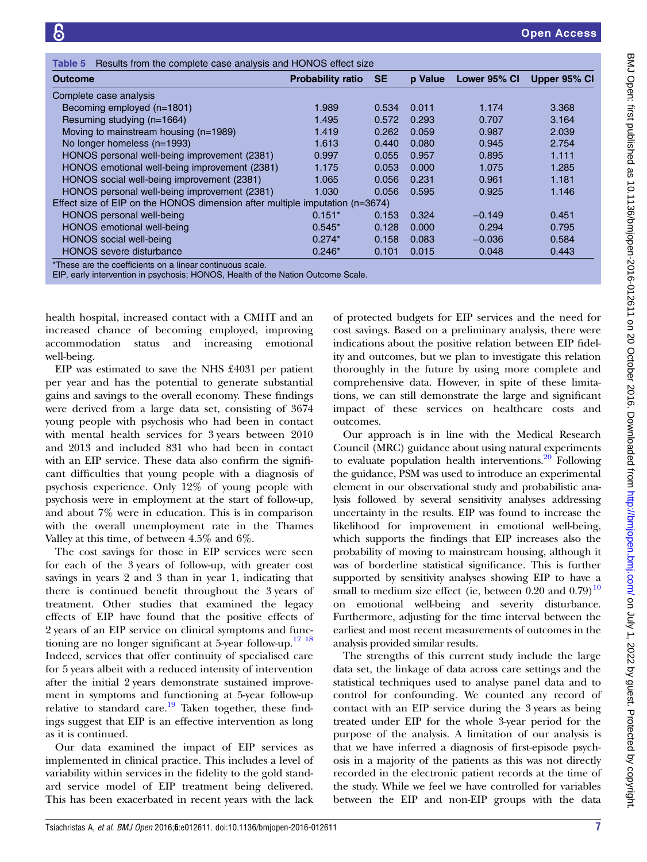<span id="page-6-0"></span>

| Results from the complete case analysis and HONOS effect size<br>Table 5                     |                          |           |                |              |              |
|----------------------------------------------------------------------------------------------|--------------------------|-----------|----------------|--------------|--------------|
| <b>Outcome</b>                                                                               | <b>Probability ratio</b> | <b>SE</b> | <b>p</b> Value | Lower 95% CI | Upper 95% CI |
| Complete case analysis                                                                       |                          |           |                |              |              |
| Becoming employed (n=1801)                                                                   | 1.989                    | 0.534     | 0.011          | 1.174        | 3.368        |
| Resuming studying (n=1664)                                                                   | 1.495                    | 0.572     | 0.293          | 0.707        | 3.164        |
| Moving to mainstream housing (n=1989)                                                        | 1.419                    | 0.262     | 0.059          | 0.987        | 2.039        |
| No longer homeless (n=1993)                                                                  | 1.613                    | 0.440     | 0.080          | 0.945        | 2.754        |
| HONOS personal well-being improvement (2381)                                                 | 0.997                    | 0.055     | 0.957          | 0.895        | 1.111        |
| HONOS emotional well-being improvement (2381)                                                | 1.175                    | 0.053     | 0.000          | 1.075        | 1.285        |
| HONOS social well-being improvement (2381)                                                   | 1.065                    | 0.056     | 0.231          | 0.961        | 1.181        |
| HONOS personal well-being improvement (2381)                                                 | 1.030                    | 0.056     | 0.595          | 0.925        | 1.146        |
| Effect size of EIP on the HONOS dimension after multiple imputation (n=3674)                 |                          |           |                |              |              |
| HONOS personal well-being                                                                    | $0.151*$                 | 0.153     | 0.324          | $-0.149$     | 0.451        |
| HONOS emotional well-being                                                                   | $0.545*$                 | 0.128     | 0.000          | 0.294        | 0.795        |
| HONOS social well-being                                                                      | $0.274*$                 | 0.158     | 0.083          | $-0.036$     | 0.584        |
| <b>HONOS</b> severe disturbance<br>*There are the conditionate on a linear conditional coole | $0.246*$                 | 0.101     | 0.015          | 0.048        | 0.443        |

\*These are the coefficients on a linear continuous scale.

EIP, early intervention in psychosis; HONOS, Health of the Nation Outcome Scale.

health hospital, increased contact with a CMHT and an increased chance of becoming employed, improving accommodation status and increasing emotional well-being.

EIP was estimated to save the NHS £4031 per patient per year and has the potential to generate substantial gains and savings to the overall economy. These findings were derived from a large data set, consisting of 3674 young people with psychosis who had been in contact with mental health services for 3 years between 2010 and 2013 and included 831 who had been in contact with an EIP service. These data also confirm the significant difficulties that young people with a diagnosis of psychosis experience. Only 12% of young people with psychosis were in employment at the start of follow-up, and about 7% were in education. This is in comparison with the overall unemployment rate in the Thames Valley at this time, of between 4.5% and 6%.

The cost savings for those in EIP services were seen for each of the 3 years of follow-up, with greater cost savings in years 2 and 3 than in year 1, indicating that there is continued benefit throughout the 3 years of treatment. Other studies that examined the legacy effects of EIP have found that the positive effects of 2 years of an EIP service on clinical symptoms and functioning are no longer significant at 5-year follow-up.<sup>17</sup> <sup>18</sup> Indeed, services that offer continuity of specialised care for 5 years albeit with a reduced intensity of intervention after the initial 2 years demonstrate sustained improvement in symptoms and functioning at 5-year follow-up relative to standard care.<sup>[19](#page-8-0)</sup> Taken together, these findings suggest that EIP is an effective intervention as long as it is continued.

Our data examined the impact of EIP services as implemented in clinical practice. This includes a level of variability within services in the fidelity to the gold standard service model of EIP treatment being delivered. This has been exacerbated in recent years with the lack

of protected budgets for EIP services and the need for cost savings. Based on a preliminary analysis, there were indications about the positive relation between EIP fidelity and outcomes, but we plan to investigate this relation thoroughly in the future by using more complete and comprehensive data. However, in spite of these limitations, we can still demonstrate the large and significant impact of these services on healthcare costs and outcomes.

Our approach is in line with the Medical Research Council (MRC) guidance about using natural experiments to evaluate population health interventions. $20$  Following the guidance, PSM was used to introduce an experimental element in our observational study and probabilistic analysis followed by several sensitivity analyses addressing uncertainty in the results. EIP was found to increase the likelihood for improvement in emotional well-being, which supports the findings that EIP increases also the probability of moving to mainstream housing, although it was of borderline statistical significance. This is further supported by sensitivity analyses showing EIP to have a small to medium size effect (ie, between 0.20 and  $0.79$ )<sup>[10](#page-8-0)</sup> on emotional well-being and severity disturbance. Furthermore, adjusting for the time interval between the earliest and most recent measurements of outcomes in the analysis provided similar results.

The strengths of this current study include the large data set, the linkage of data across care settings and the statistical techniques used to analyse panel data and to control for confounding. We counted any record of contact with an EIP service during the 3 years as being treated under EIP for the whole 3-year period for the purpose of the analysis. A limitation of our analysis is that we have inferred a diagnosis of first-episode psychosis in a majority of the patients as this was not directly recorded in the electronic patient records at the time of the study. While we feel we have controlled for variables between the EIP and non-EIP groups with the data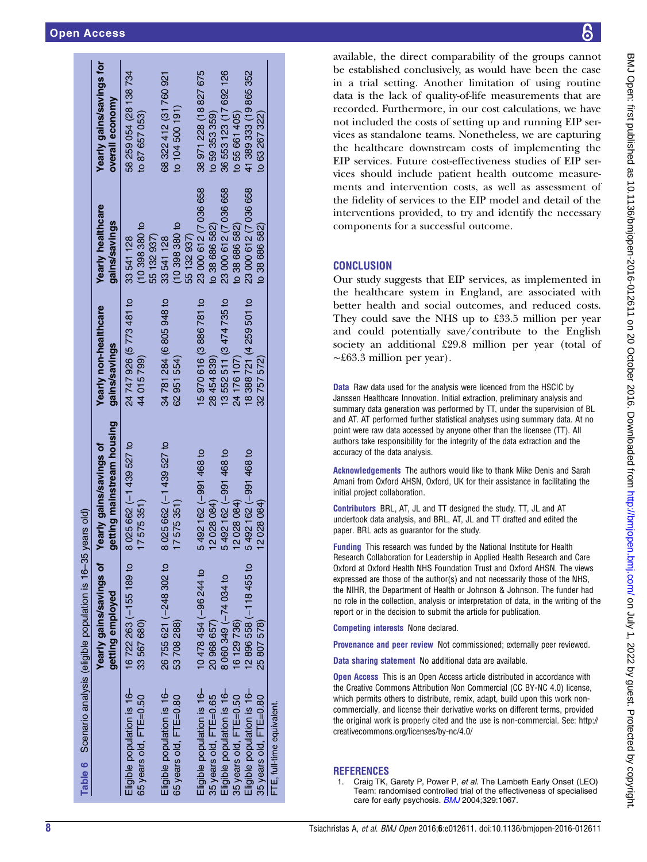<span id="page-7-0"></span>

|                                                      | Table 6 Scenario analysis (eligible population is 16-35 years old) |                                                              |                                         |                                                |                                             |
|------------------------------------------------------|--------------------------------------------------------------------|--------------------------------------------------------------|-----------------------------------------|------------------------------------------------|---------------------------------------------|
|                                                      | Yearly gains/savings of<br>getting employed                        | getting mainstream housing<br><b>Yearly gains/savings of</b> | Yearly non-healthcare<br>gains/savings  | Yearly healthcare<br>gains/savings             | Yearly gains/savings for<br>overall economy |
| Eligible population is 16-<br>65 years old, FTE=0.50 | 16722 263 (-155 189 to<br>33 567 680)                              | 8 025 662 (-1 439 527 to<br>7575351)                         | 24 747 926 (5 773 481 to<br>44 015 799) | (10398380t)<br>55 132 937)<br>33541128         | 58 259 054 (28 138 734<br>to 87 657 053)    |
| Eligible population is 16-<br>65 years old, FTE=0.80 | 26 755 621 (-248 302 to<br>53708288)                               | 8 025 662 (-1 439 527 to<br>7575351)                         | 34 781 284 (6 805 948 to<br>62 951 554) | $(10, 398, 380)$ to<br>55 132 937)<br>33541128 | 68 322 412 (31 760 921<br>to 104 500 191)   |
| Eligible population is 16-<br>35 years old, FTE=0.65 | 10 478 454 (-96 244 to<br>20 968 657)                              | 492 162 (-991 468 to<br>2028084)<br>Ľ.                       | 15970 616 (3886 781 to<br>28454839)     | 23 000 612 (7 036 658<br>to 38 686 582)        | 38 971 228 (18 827 675<br>to 59 353 359)    |
| Eligible population is 16-<br>35 years old, FTE=0.50 | 8 060 349 ( $-74$ 034 to<br>16 129 736)                            | 492 162 (-991 468 to<br>2028084)                             | 3552511 (3474735 to<br>24 176 107)      | 23 000 612 (7 036 658<br>to 38 686 582)        | 36 553 123 (17 692 126<br>to 55 661 405)    |
| Eligible population is 16-<br>35 years old, FTE=0.80 | 12 896 558 (-118 455 to<br>25 807 578)                             | 5492 162 (-991 468 to<br>2028084)                            | 18 388 721 (4 259 501 to<br>32 757 572) | 23 000 612 (7 036 658<br>to 38 686 582)        | 41389333 (19865352<br>to 63 267 322)        |
| FTE, full-time equivalent                            |                                                                    |                                                              |                                         |                                                |                                             |

available, the direct comparability of the groups cannot be established conclusively, as would have been the case in a trial setting. Another limitation of using routine data is the lack of quality-of-life measurements that are recorded. Furthermore, in our cost calculations, we have not included the costs of setting up and running EIP services as standalone teams. Nonetheless, we are capturing the healthcare downstream costs of implementing the EIP services. Future cost-effectiveness studies of EIP services should include patient health outcome measurements and intervention costs, as well as assessment of the fidelity of services to the EIP model and detail of the interventions provided, to try and identify the necessary components for a successful outcome.

# **CONCLUSION**

Our study suggests that EIP services, as implemented in the healthcare system in England, are associated with better health and social outcomes, and reduced costs. They could save the NHS up to £33.5 million per year and could potentially save/contribute to the English society an additional £29.8 million per year (total of ∼£63.3 million per year).

**Data** Raw data used for the analysis were licenced from the HSCIC by Janssen Healthcare Innovation. Initial extraction, preliminary analysis and summary data generation was performed by TT, under the supervision of BL and AT. AT performed further statistical analyses using summary data. At no point were raw data accessed by anyone other than the licensee (TT). All authors take responsibility for the integrity of the data extraction and the accuracy of the data analysis.

Acknowledgements The authors would like to thank Mike Denis and Sarah Amani from Oxford AHSN, Oxford, UK for their assistance in facilitating the initial project collaboration.

Contributors BRL, AT, JL and TT designed the study. TT, JL and AT undertook data analysis, and BRL, AT, JL and TT drafted and edited the paper. BRL acts as guarantor for the study.

Funding This research was funded by the National Institute for Health Research Collaboration for Leadership in Applied Health Research and Care Oxford at Oxford Health NHS Foundation Trust and Oxford AHSN. The views expressed are those of the author(s) and not necessarily those of the NHS, the NIHR, the Department of Health or Johnson & Johnson. The funder had no role in the collection, analysis or interpretation of data, in the writing of the report or in the decision to submit the article for publication.

Competing interests None declared.

Provenance and peer review Not commissioned; externally peer reviewed.

Data sharing statement No additional data are available.

**Open Access** This is an Open Access article distributed in accordance with the Creative Commons Attribution Non Commercial (CC BY-NC 4.0) license, which permits others to distribute, remix, adapt, build upon this work noncommercially, and license their derivative works on different terms, provided the original work is properly cited and the use is non-commercial. See: [http://](http://creativecommons.org/licenses/by-nc/4.0/) [creativecommons.org/licenses/by-nc/4.0/](http://creativecommons.org/licenses/by-nc/4.0/)

# **REFERENCES**

Craig TK, Garety P, Power P, et al. The Lambeth Early Onset (LEO) Team: randomised controlled trial of the effectiveness of specialised care for early psychosis. **[BMJ](http://dx.doi.org/10.1136/bmj.38246.594873.7C)** 2004;329:1067.